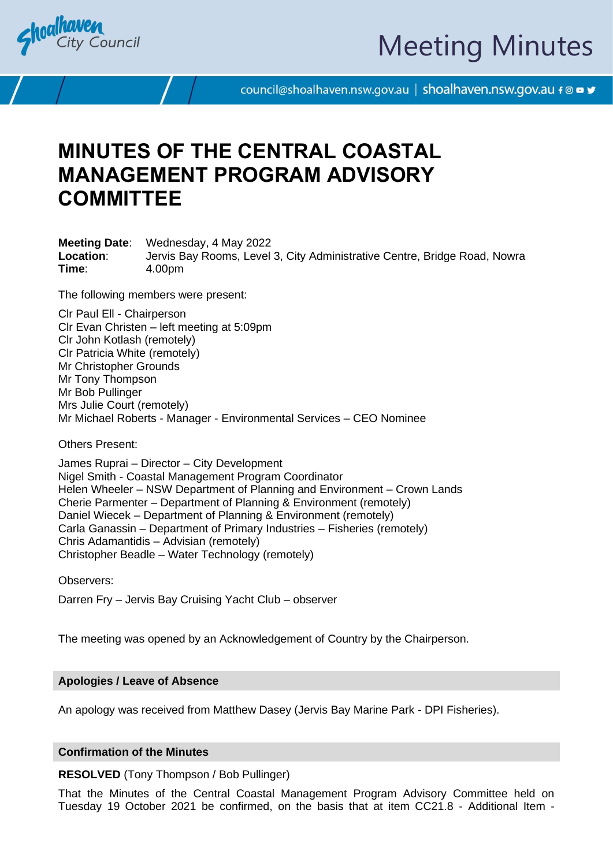



council@shoalhaven.nsw.gov.au | shoalhaven.nsw.gov.au f @ ■ y

# **MINUTES OF THE CENTRAL COASTAL MANAGEMENT PROGRAM ADVISORY COMMITTEE**

**Meeting Date**: Wednesday, 4 May 2022 **Location**: Jervis Bay Rooms, Level 3, City Administrative Centre, Bridge Road, Nowra **Time**: 4.00pm

The following members were present:

Clr Paul Ell - Chairperson Clr Evan Christen – left meeting at 5:09pm Clr John Kotlash (remotely) Clr Patricia White (remotely) Mr Christopher Grounds Mr Tony Thompson Mr Bob Pullinger Mrs Julie Court (remotely) Mr Michael Roberts - Manager - Environmental Services – CEO Nominee

Others Present:

James Ruprai – Director – City Development Nigel Smith - Coastal Management Program Coordinator Helen Wheeler – NSW Department of Planning and Environment – Crown Lands Cherie Parmenter – Department of Planning & Environment (remotely) Daniel Wiecek – Department of Planning & Environment (remotely) Carla Ganassin – Department of Primary Industries – Fisheries (remotely) Chris Adamantidis – Advisian (remotely) Christopher Beadle – Water Technology (remotely)

Observers:

Darren Fry – Jervis Bay Cruising Yacht Club – observer

The meeting was opened by an Acknowledgement of Country by the Chairperson.

## **Apologies / Leave of Absence**

An apology was received from Matthew Dasey (Jervis Bay Marine Park - DPI Fisheries).

## **Confirmation of the Minutes**

**RESOLVED** (Tony Thompson / Bob Pullinger)

That the Minutes of the Central Coastal Management Program Advisory Committee held on Tuesday 19 October 2021 be confirmed, on the basis that at item CC21.8 - Additional Item -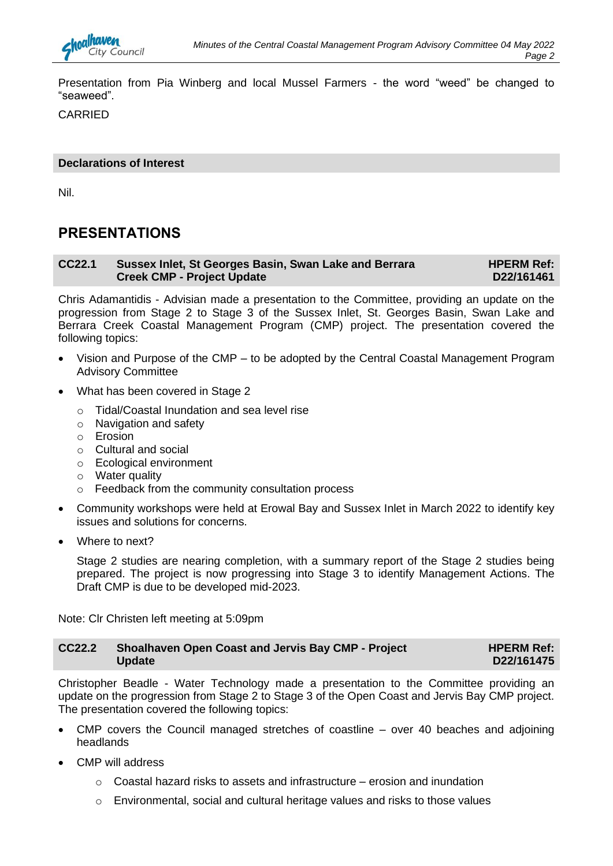Presentation from Pia Winberg and local Mussel Farmers - the word "weed" be changed to "seaweed".

CARRIED

## **Declarations of Interest**

Nil.

## **PRESENTATIONS**

#### **CC22.1 Sussex Inlet, St Georges Basin, Swan Lake and Berrara Creek CMP - Project Update HPERM Ref: D22/161461**

Chris Adamantidis - Advisian made a presentation to the Committee, providing an update on the progression from Stage 2 to Stage 3 of the Sussex Inlet, St. Georges Basin, Swan Lake and Berrara Creek Coastal Management Program (CMP) project. The presentation covered the following topics:

- Vision and Purpose of the CMP to be adopted by the Central Coastal Management Program Advisory Committee
- What has been covered in Stage 2
	- o Tidal/Coastal Inundation and sea level rise
	- o Navigation and safety
	- o Erosion
	- o Cultural and social
	- o Ecological environment
	- o Water quality
	- o Feedback from the community consultation process
- Community workshops were held at Erowal Bay and Sussex Inlet in March 2022 to identify key issues and solutions for concerns.
- Where to next?

Stage 2 studies are nearing completion, with a summary report of the Stage 2 studies being prepared. The project is now progressing into Stage 3 to identify Management Actions. The Draft CMP is due to be developed mid-2023.

Note: Clr Christen left meeting at 5:09pm

| <b>CC22.2</b> | Shoalhaven Open Coast and Jervis Bay CMP - Project | <b>HPERM Ref:</b> |
|---------------|----------------------------------------------------|-------------------|
|               | <b>Update</b>                                      | D22/161475        |

Christopher Beadle - Water Technology made a presentation to the Committee providing an update on the progression from Stage 2 to Stage 3 of the Open Coast and Jervis Bay CMP project. The presentation covered the following topics:

- CMP covers the Council managed stretches of coastline over 40 beaches and adjoining headlands
- CMP will address
	- $\circ$  Coastal hazard risks to assets and infrastructure erosion and inundation
	- $\circ$  Environmental, social and cultural heritage values and risks to those values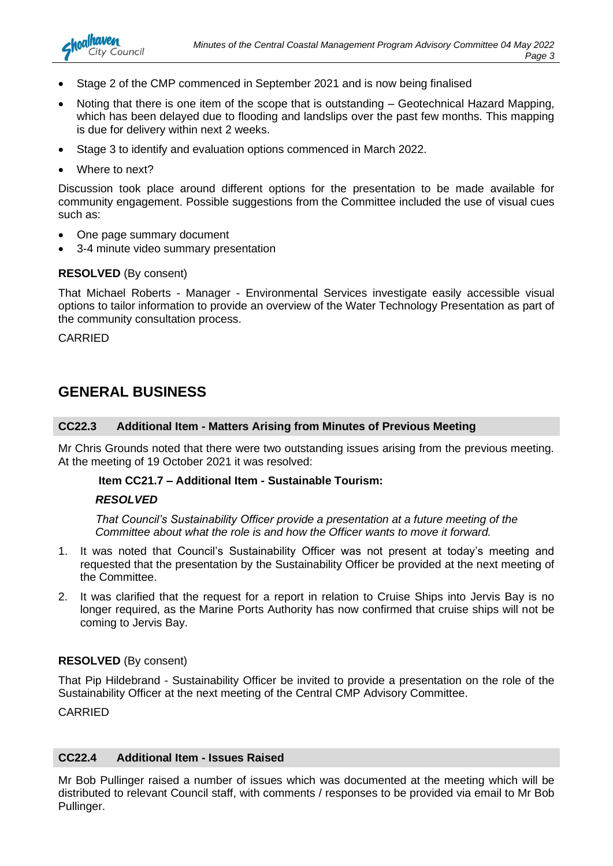- Stage 2 of the CMP commenced in September 2021 and is now being finalised
- Noting that there is one item of the scope that is outstanding Geotechnical Hazard Mapping, which has been delayed due to flooding and landslips over the past few months. This mapping is due for delivery within next 2 weeks.
- Stage 3 to identify and evaluation options commenced in March 2022.
- Where to next?

nalhaven

**City Council** 

Discussion took place around different options for the presentation to be made available for community engagement. Possible suggestions from the Committee included the use of visual cues such as:

- One page summary document
- 3-4 minute video summary presentation

## **RESOLVED** (By consent)

That Michael Roberts - Manager - Environmental Services investigate easily accessible visual options to tailor information to provide an overview of the Water Technology Presentation as part of the community consultation process.

CARRIED

## **GENERAL BUSINESS**

## **CC22.3 Additional Item - Matters Arising from Minutes of Previous Meeting**

Mr Chris Grounds noted that there were two outstanding issues arising from the previous meeting. At the meeting of 19 October 2021 it was resolved:

## **Item CC21.7 – Additional Item - Sustainable Tourism:**

## *RESOLVED*

*That Council's Sustainability Officer provide a presentation at a future meeting of the Committee about what the role is and how the Officer wants to move it forward.*

- 1. It was noted that Council's Sustainability Officer was not present at today's meeting and requested that the presentation by the Sustainability Officer be provided at the next meeting of the Committee.
- 2. It was clarified that the request for a report in relation to Cruise Ships into Jervis Bay is no longer required, as the Marine Ports Authority has now confirmed that cruise ships will not be coming to Jervis Bay.

## **RESOLVED** (By consent)

That Pip Hildebrand - Sustainability Officer be invited to provide a presentation on the role of the Sustainability Officer at the next meeting of the Central CMP Advisory Committee.

CARRIED

## **CC22.4 Additional Item - Issues Raised**

Mr Bob Pullinger raised a number of issues which was documented at the meeting which will be distributed to relevant Council staff, with comments / responses to be provided via email to Mr Bob Pullinger.